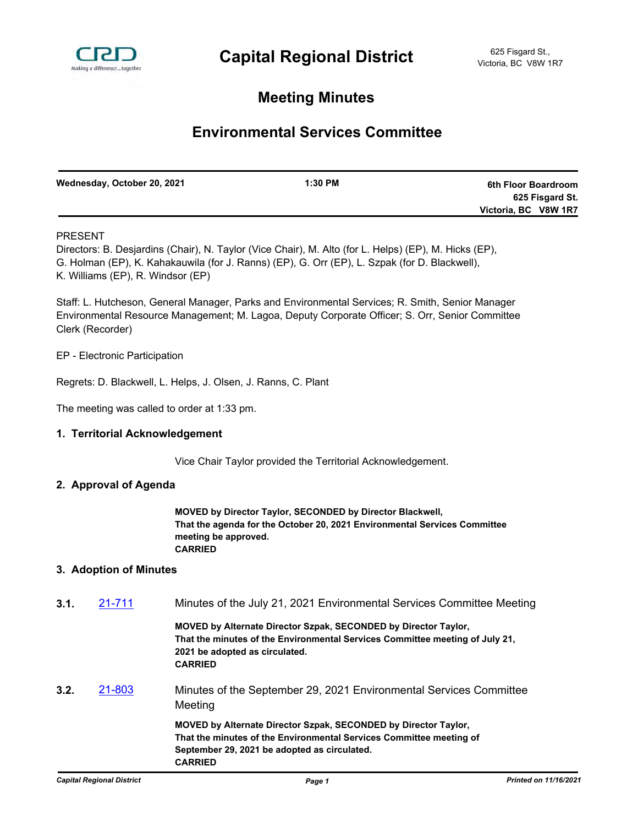

# **Meeting Minutes**

# **Environmental Services Committee**

| Wednesday, October 20, 2021 | $1:30$ PM | 6th Floor Boardroom  |
|-----------------------------|-----------|----------------------|
|                             |           | 625 Fisgard St.      |
|                             |           | Victoria, BC V8W 1R7 |

## PRESENT

Directors: B. Desjardins (Chair), N. Taylor (Vice Chair), M. Alto (for L. Helps) (EP), M. Hicks (EP), G. Holman (EP), K. Kahakauwila (for J. Ranns) (EP), G. Orr (EP), L. Szpak (for D. Blackwell), K. Williams (EP), R. Windsor (EP)

Staff: L. Hutcheson, General Manager, Parks and Environmental Services; R. Smith, Senior Manager Environmental Resource Management; M. Lagoa, Deputy Corporate Officer; S. Orr, Senior Committee Clerk (Recorder)

EP - Electronic Participation

Regrets: D. Blackwell, L. Helps, J. Olsen, J. Ranns, C. Plant

The meeting was called to order at 1:33 pm.

#### **1. Territorial Acknowledgement**

Vice Chair Taylor provided the Territorial Acknowledgement.

#### **2. Approval of Agenda**

**MOVED by Director Taylor, SECONDED by Director Blackwell, That the agenda for the October 20, 2021 Environmental Services Committee meeting be approved. CARRIED**

#### **3. Adoption of Minutes**

| 3.1. | 21-711 | Minutes of the July 21, 2021 Environmental Services Committee Meeting                                                                                                                                    |
|------|--------|----------------------------------------------------------------------------------------------------------------------------------------------------------------------------------------------------------|
|      |        | MOVED by Alternate Director Szpak, SECONDED by Director Taylor,<br>That the minutes of the Environmental Services Committee meeting of July 21,<br>2021 be adopted as circulated.<br><b>CARRIED</b>      |
| 3.2. | 21-803 | Minutes of the September 29, 2021 Environmental Services Committee<br>Meeting                                                                                                                            |
|      |        | MOVED by Alternate Director Szpak, SECONDED by Director Taylor,<br>That the minutes of the Environmental Services Committee meeting of<br>September 29, 2021 be adopted as circulated.<br><b>CARRIED</b> |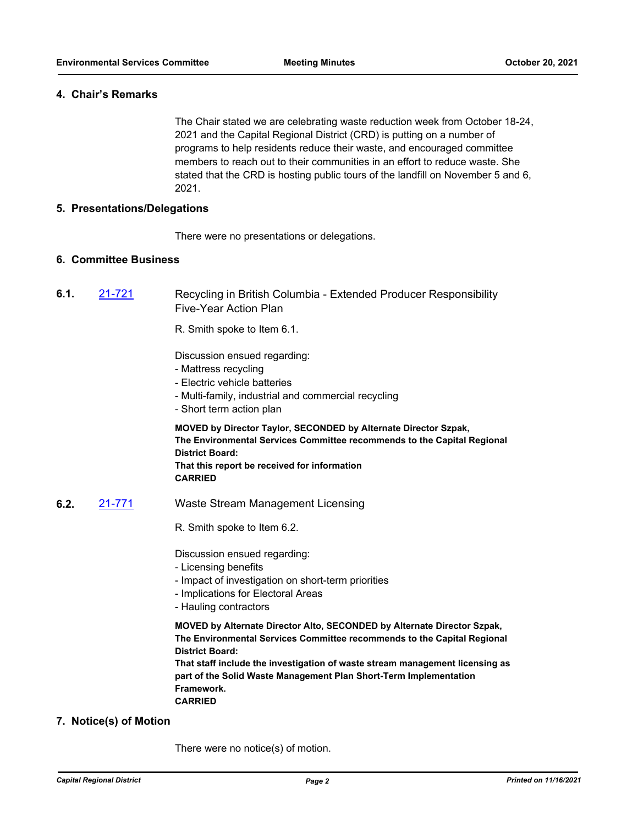#### **4. Chair's Remarks**

The Chair stated we are celebrating waste reduction week from October 18-24, 2021 and the Capital Regional District (CRD) is putting on a number of programs to help residents reduce their waste, and encouraged committee members to reach out to their communities in an effort to reduce waste. She stated that the CRD is hosting public tours of the landfill on November 5 and 6, 2021.

#### **5. Presentations/Delegations**

There were no presentations or delegations.

### **6. Committee Business**

**6.1.** [21-721](http://crd.ca.legistar.com/gateway.aspx?m=l&id=/matter.aspx?key=8669) Recycling in British Columbia - Extended Producer Responsibility Five-Year Action Plan

R. Smith spoke to Item 6.1.

Discussion ensued regarding:

- Mattress recycling
- Electric vehicle batteries
- Multi-family, industrial and commercial recycling
- Short term action plan

**MOVED by Director Taylor, SECONDED by Alternate Director Szpak, The Environmental Services Committee recommends to the Capital Regional District Board: That this report be received for information CARRIED**

- **6.2.** [21-771](http://crd.ca.legistar.com/gateway.aspx?m=l&id=/matter.aspx?key=8719) Waste Stream Management Licensing
	- R. Smith spoke to Item 6.2.

Discussion ensued regarding:

- Licensing benefits
- Impact of investigation on short-term priorities
- Implications for Electoral Areas
- Hauling contractors

**MOVED by Alternate Director Alto, SECONDED by Alternate Director Szpak, The Environmental Services Committee recommends to the Capital Regional District Board:**

**That staff include the investigation of waste stream management licensing as part of the Solid Waste Management Plan Short-Term Implementation Framework. CARRIED**

#### **7. Notice(s) of Motion**

There were no notice(s) of motion.